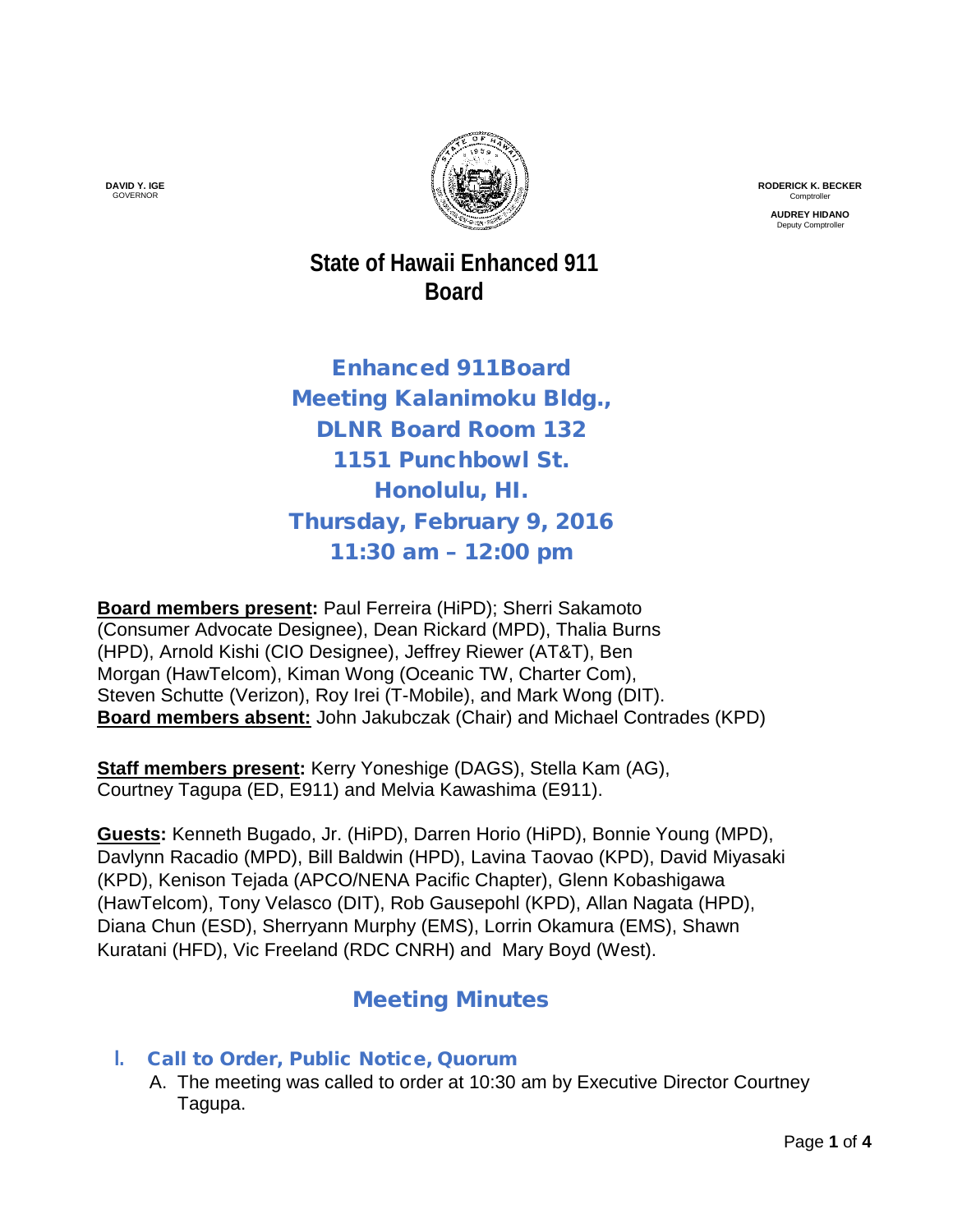

**RODERICK K. BECKER** Comptroller

**AUDREY HIDANO** Deputy Comptroll

**State of Hawaii Enhanced 911 Board**

Enhanced 911Board Meeting Kalanimoku Bldg., DLNR Board Room 132 1151 Punchbowl St. Honolulu, HI. Thursday, February 9, 2016 11:30 am – 12:00 pm

**Board members present:** Paul Ferreira (HiPD); Sherri Sakamoto (Consumer Advocate Designee), Dean Rickard (MPD), Thalia Burns (HPD), Arnold Kishi (CIO Designee), Jeffrey Riewer (AT&T), Ben Morgan (HawTelcom), Kiman Wong (Oceanic TW, Charter Com), Steven Schutte (Verizon), Roy Irei (T-Mobile), and Mark Wong (DIT). **Board members absent:** John Jakubczak (Chair) and Michael Contrades (KPD)

**Staff members present:** Kerry Yoneshige (DAGS), Stella Kam (AG), Courtney Tagupa (ED, E911) and Melvia Kawashima (E911).

**Guests:** Kenneth Bugado, Jr. (HiPD), Darren Horio (HiPD), Bonnie Young (MPD), Davlynn Racadio (MPD), Bill Baldwin (HPD), Lavina Taovao (KPD), David Miyasaki (KPD), Kenison Tejada (APCO/NENA Pacific Chapter), Glenn Kobashigawa (HawTelcom), Tony Velasco (DIT), Rob Gausepohl (KPD), Allan Nagata (HPD), Diana Chun (ESD), Sherryann Murphy (EMS), Lorrin Okamura (EMS), Shawn Kuratani (HFD), Vic Freeland (RDC CNRH) and Mary Boyd (West).

# Meeting Minutes

- **I.** Call to Order, Public Notice, Quorum
	- A. The meeting was called to order at 10:30 am by Executive Director Courtney Tagupa.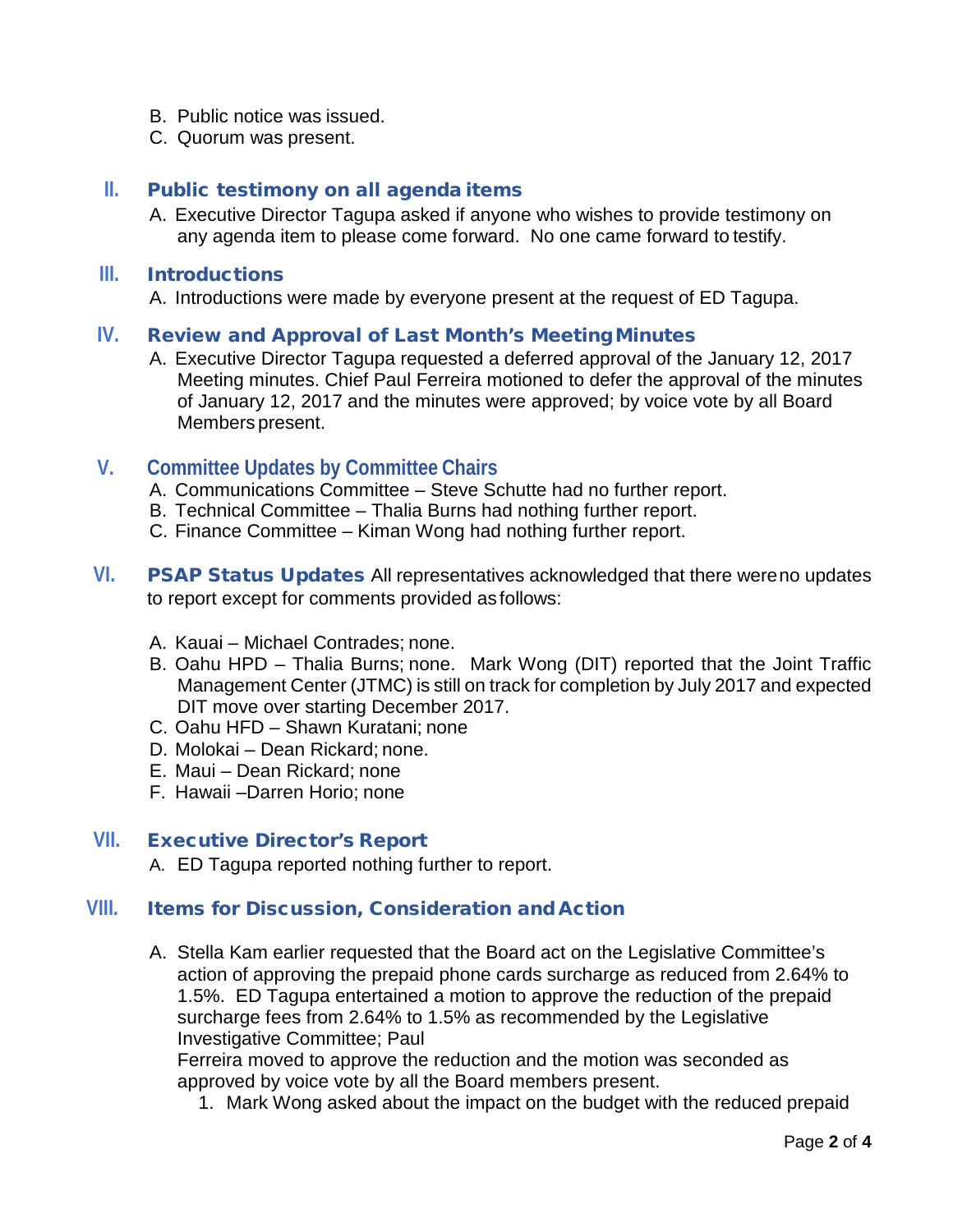- B. Public notice was issued.
- C. Quorum was present.

### **II.** Public testimony on all agenda items

A. Executive Director Tagupa asked if anyone who wishes to provide testimony on any agenda item to please come forward. No one came forward to testify.

#### **III.** Introductions

A. Introductions were made by everyone present at the request of ED Tagupa.

#### **IV.** Review and Approval of Last Month's MeetingMinutes

A. Executive Director Tagupa requested a deferred approval of the January 12, 2017 Meeting minutes. Chief Paul Ferreira motioned to defer the approval of the minutes of January 12, 2017 and the minutes were approved; by voice vote by all Board Members present.

### **V. Committee Updates by Committee Chairs**

- A. Communications Committee Steve Schutte had no further report.
- B. Technical Committee Thalia Burns had nothing further report.
- C. Finance Committee Kiman Wong had nothing further report.
- **VI.** PSAP Status Updates All representatives acknowledged that there wereno updates to report except for comments provided as follows:
	- A. Kauai Michael Contrades; none.
	- B. Oahu HPD Thalia Burns; none. Mark Wong (DIT) reported that the Joint Traffic Management Center (JTMC) is still on track for completion by July 2017 and expected DIT move over starting December 2017.
	- C. Oahu HFD Shawn Kuratani; none
	- D. Molokai Dean Rickard; none.
	- E. Maui Dean Rickard; none
	- F. Hawaii –Darren Horio; none

#### **VII.** Executive Director's Report

A. ED Tagupa reported nothing further to report.

# **VIII.** Items for Discussion, Consideration and Action

A. Stella Kam earlier requested that the Board act on the Legislative Committee's action of approving the prepaid phone cards surcharge as reduced from 2.64% to 1.5%. ED Tagupa entertained a motion to approve the reduction of the prepaid surcharge fees from 2.64% to 1.5% as recommended by the Legislative Investigative Committee; Paul

Ferreira moved to approve the reduction and the motion was seconded as approved by voice vote by all the Board members present.

1. Mark Wong asked about the impact on the budget with the reduced prepaid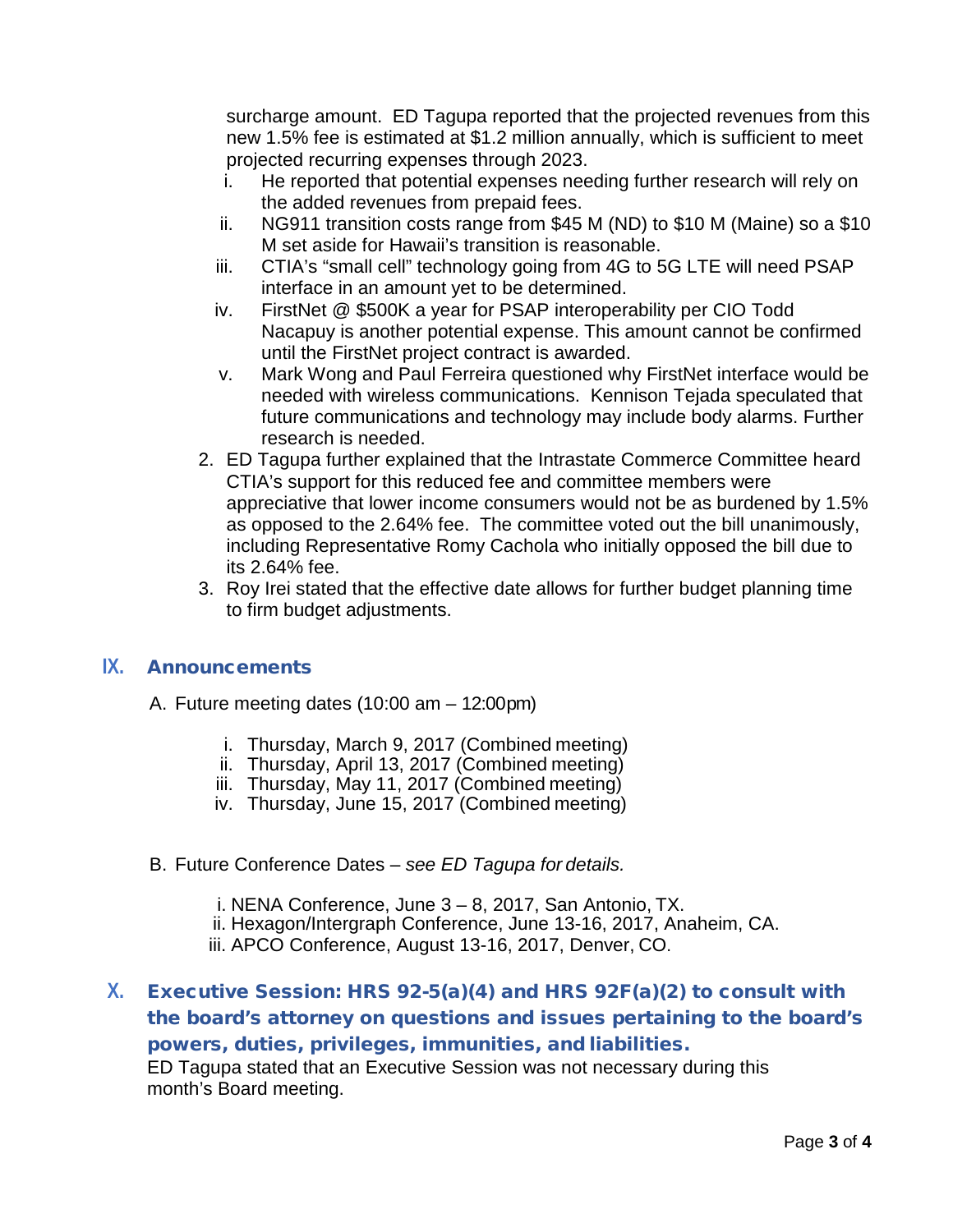surcharge amount. ED Tagupa reported that the projected revenues from this new 1.5% fee is estimated at \$1.2 million annually, which is sufficient to meet projected recurring expenses through 2023.

- i. He reported that potential expenses needing further research will rely on the added revenues from prepaid fees.
- ii. NG911 transition costs range from \$45 M (ND) to \$10 M (Maine) so a \$10 M set aside for Hawaii's transition is reasonable.
- iii. CTIA's "small cell" technology going from 4G to 5G LTE will need PSAP interface in an amount yet to be determined.
- iv. FirstNet @ \$500K a year for PSAP interoperability per CIO Todd Nacapuy is another potential expense. This amount cannot be confirmed until the FirstNet project contract is awarded.
- v. Mark Wong and Paul Ferreira questioned why FirstNet interface would be needed with wireless communications. Kennison Tejada speculated that future communications and technology may include body alarms. Further research is needed.
- 2. ED Tagupa further explained that the Intrastate Commerce Committee heard CTIA's support for this reduced fee and committee members were appreciative that lower income consumers would not be as burdened by 1.5% as opposed to the 2.64% fee. The committee voted out the bill unanimously, including Representative Romy Cachola who initially opposed the bill due to its 2.64% fee.
- 3. Roy Irei stated that the effective date allows for further budget planning time to firm budget adjustments.

#### **IX.** Announcements

- A. Future meeting dates (10:00 am 12:00pm)
	- i. Thursday, March 9, 2017 (Combined meeting)
	- ii. Thursday, April 13, 2017 (Combined meeting)
	- iii. Thursday, May 11, 2017 (Combined meeting)
	- iv. Thursday, June 15, 2017 (Combined meeting)
- B. Future Conference Dates *see ED Tagupa for details.*
	- i. NENA Conference, June 3 8, 2017, San Antonio, TX.
	- ii. Hexagon/Intergraph Conference, June 13-16, 2017, Anaheim, CA.
	- iii. APCO Conference, August 13-16, 2017, Denver, CO.

# **X.** Executive Session: HRS 92-5(a)(4) and HRS 92F(a)(2) to consult with the board's attorney on questions and issues pertaining to the board's powers, duties, privileges, immunities, and liabilities. ED Tagupa stated that an Executive Session was not necessary during this month's Board meeting.